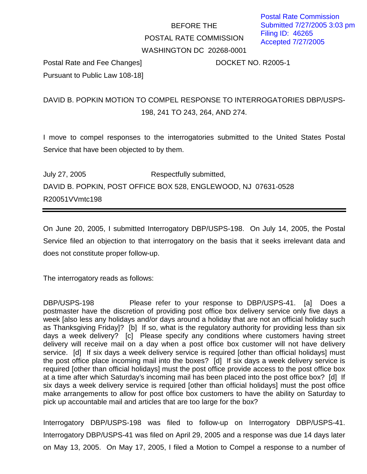## BEFORE THE POSTAL RATE COMMISSION WASHINGTON DC 20268-0001

Postal Rate and Fee Changes] DOCKET NO. R2005-1 Pursuant to Public Law 108-18]

## DAVID B. POPKIN MOTION TO COMPEL RESPONSE TO INTERROGATORIES DBP/USPS-198, 241 TO 243, 264, AND 274.

I move to compel responses to the interrogatories submitted to the United States Postal Service that have been objected to by them.

July 27, 2005 Respectfully submitted, DAVID B. POPKIN, POST OFFICE BOX 528, ENGLEWOOD, NJ 07631-0528 R20051VVmtc198

On June 20, 2005, I submitted Interrogatory DBP/USPS-198. On July 14, 2005, the Postal Service filed an objection to that interrogatory on the basis that it seeks irrelevant data and does not constitute proper follow-up.

The interrogatory reads as follows:

DBP/USPS-198 Please refer to your response to DBP/USPS-41. [a] Does a postmaster have the discretion of providing post office box delivery service only five days a week [also less any holidays and/or days around a holiday that are not an official holiday such as Thanksgiving Friday]? [b] If so, what is the regulatory authority for providing less than six days a week delivery? [c] Please specify any conditions where customers having street delivery will receive mail on a day when a post office box customer will not have delivery service. [d] If six days a week delivery service is required [other than official holidays] must the post office place incoming mail into the boxes? [d] If six days a week delivery service is required [other than official holidays] must the post office provide access to the post office box at a time after which Saturday's incoming mail has been placed into the post office box? [d] If six days a week delivery service is required [other than official holidays] must the post office make arrangements to allow for post office box customers to have the ability on Saturday to pick up accountable mail and articles that are too large for the box?

Interrogatory DBP/USPS-198 was filed to follow-up on Interrogatory DBP/USPS-41. Interrogatory DBP/USPS-41 was filed on April 29, 2005 and a response was due 14 days later on May 13, 2005. On May 17, 2005, I filed a Motion to Compel a response to a number of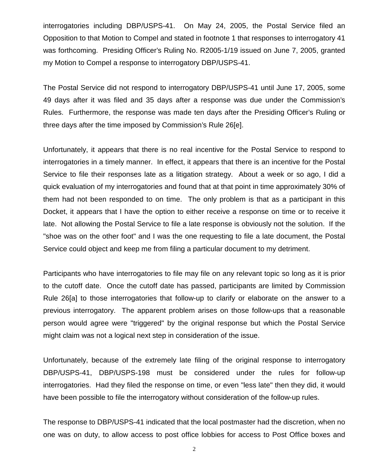interrogatories including DBP/USPS-41. On May 24, 2005, the Postal Service filed an Opposition to that Motion to Compel and stated in footnote 1 that responses to interrogatory 41 was forthcoming. Presiding Officer's Ruling No. R2005-1/19 issued on June 7, 2005, granted my Motion to Compel a response to interrogatory DBP/USPS-41.

The Postal Service did not respond to interrogatory DBP/USPS-41 until June 17, 2005, some 49 days after it was filed and 35 days after a response was due under the Commission's Rules. Furthermore, the response was made ten days after the Presiding Officer's Ruling or three days after the time imposed by Commission's Rule 26[e].

Unfortunately, it appears that there is no real incentive for the Postal Service to respond to interrogatories in a timely manner. In effect, it appears that there is an incentive for the Postal Service to file their responses late as a litigation strategy. About a week or so ago, I did a quick evaluation of my interrogatories and found that at that point in time approximately 30% of them had not been responded to on time. The only problem is that as a participant in this Docket, it appears that I have the option to either receive a response on time or to receive it late. Not allowing the Postal Service to file a late response is obviously not the solution. If the "shoe was on the other foot" and I was the one requesting to file a late document, the Postal Service could object and keep me from filing a particular document to my detriment.

Participants who have interrogatories to file may file on any relevant topic so long as it is prior to the cutoff date. Once the cutoff date has passed, participants are limited by Commission Rule 26[a] to those interrogatories that follow-up to clarify or elaborate on the answer to a previous interrogatory. The apparent problem arises on those follow-ups that a reasonable person would agree were "triggered" by the original response but which the Postal Service might claim was not a logical next step in consideration of the issue.

Unfortunately, because of the extremely late filing of the original response to interrogatory DBP/USPS-41, DBP/USPS-198 must be considered under the rules for follow-up interrogatories. Had they filed the response on time, or even "less late" then they did, it would have been possible to file the interrogatory without consideration of the follow-up rules.

The response to DBP/USPS-41 indicated that the local postmaster had the discretion, when no one was on duty, to allow access to post office lobbies for access to Post Office boxes and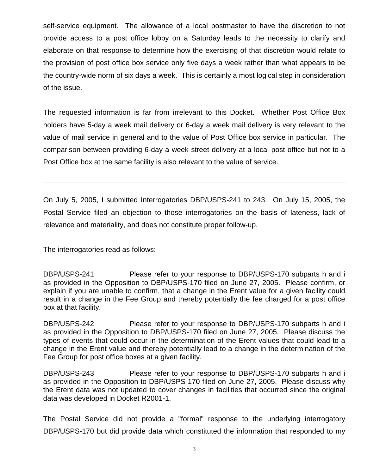self-service equipment. The allowance of a local postmaster to have the discretion to not provide access to a post office lobby on a Saturday leads to the necessity to clarify and elaborate on that response to determine how the exercising of that discretion would relate to the provision of post office box service only five days a week rather than what appears to be the country-wide norm of six days a week. This is certainly a most logical step in consideration of the issue.

The requested information is far from irrelevant to this Docket. Whether Post Office Box holders have 5-day a week mail delivery or 6-day a week mail delivery is very relevant to the value of mail service in general and to the value of Post Office box service in particular. The comparison between providing 6-day a week street delivery at a local post office but not to a Post Office box at the same facility is also relevant to the value of service.

On July 5, 2005, I submitted Interrogatories DBP/USPS-241 to 243. On July 15, 2005, the Postal Service filed an objection to those interrogatories on the basis of lateness, lack of relevance and materiality, and does not constitute proper follow-up.

The interrogatories read as follows:

DBP/USPS-241 Please refer to your response to DBP/USPS-170 subparts h and i as provided in the Opposition to DBP/USPS-170 filed on June 27, 2005. Please confirm, or explain if you are unable to confirm, that a change in the Erent value for a given facility could result in a change in the Fee Group and thereby potentially the fee charged for a post office box at that facility.

DBP/USPS-242 Please refer to your response to DBP/USPS-170 subparts h and i as provided in the Opposition to DBP/USPS-170 filed on June 27, 2005. Please discuss the types of events that could occur in the determination of the Erent values that could lead to a change in the Erent value and thereby potentially lead to a change in the determination of the Fee Group for post office boxes at a given facility.

DBP/USPS-243 Please refer to your response to DBP/USPS-170 subparts h and i as provided in the Opposition to DBP/USPS-170 filed on June 27, 2005. Please discuss why the Erent data was not updated to cover changes in facilities that occurred since the original data was developed in Docket R2001-1.

The Postal Service did not provide a "formal" response to the underlying interrogatory DBP/USPS-170 but did provide data which constituted the information that responded to my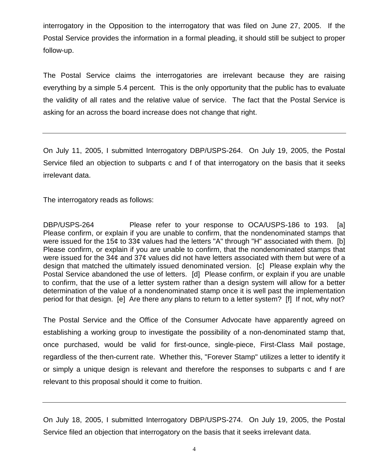interrogatory in the Opposition to the interrogatory that was filed on June 27, 2005. If the Postal Service provides the information in a formal pleading, it should still be subject to proper follow-up.

The Postal Service claims the interrogatories are irrelevant because they are raising everything by a simple 5.4 percent. This is the only opportunity that the public has to evaluate the validity of all rates and the relative value of service. The fact that the Postal Service is asking for an across the board increase does not change that right.

On July 11, 2005, I submitted Interrogatory DBP/USPS-264. On July 19, 2005, the Postal Service filed an objection to subparts c and f of that interrogatory on the basis that it seeks irrelevant data.

The interrogatory reads as follows:

DBP/USPS-264 Please refer to your response to OCA/USPS-186 to 193. [a] Please confirm, or explain if you are unable to confirm, that the nondenominated stamps that were issued for the 15¢ to 33¢ values had the letters "A" through "H" associated with them. [b] Please confirm, or explain if you are unable to confirm, that the nondenominated stamps that were issued for the 34¢ and 37¢ values did not have letters associated with them but were of a design that matched the ultimately issued denominated version. [c] Please explain why the Postal Service abandoned the use of letters. [d] Please confirm, or explain if you are unable to confirm, that the use of a letter system rather than a design system will allow for a better determination of the value of a nondenominated stamp once it is well past the implementation period for that design. [e] Are there any plans to return to a letter system? [f] If not, why not?

The Postal Service and the Office of the Consumer Advocate have apparently agreed on establishing a working group to investigate the possibility of a non-denominated stamp that, once purchased, would be valid for first-ounce, single-piece, First-Class Mail postage, regardless of the then-current rate. Whether this, "Forever Stamp" utilizes a letter to identify it or simply a unique design is relevant and therefore the responses to subparts c and f are relevant to this proposal should it come to fruition.

On July 18, 2005, I submitted Interrogatory DBP/USPS-274. On July 19, 2005, the Postal Service filed an objection that interrogatory on the basis that it seeks irrelevant data.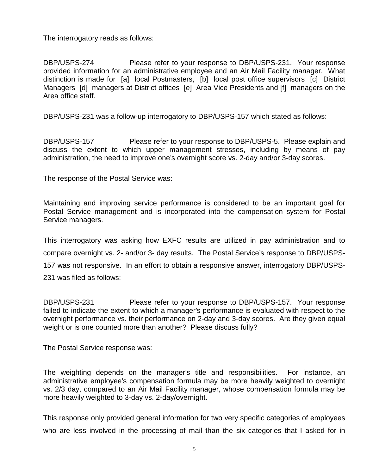The interrogatory reads as follows:

DBP/USPS-274 Please refer to your response to DBP/USPS-231. Your response provided information for an administrative employee and an Air Mail Facility manager. What distinction is made for [a] local Postmasters, [b] local post office supervisors [c] District Managers [d] managers at District offices [e] Area Vice Presidents and [f] managers on the Area office staff.

DBP/USPS-231 was a follow-up interrogatory to DBP/USPS-157 which stated as follows:

DBP/USPS-157 Please refer to your response to DBP/USPS-5. Please explain and discuss the extent to which upper management stresses, including by means of pay administration, the need to improve one's overnight score vs. 2-day and/or 3-day scores.

The response of the Postal Service was:

Maintaining and improving service performance is considered to be an important goal for Postal Service management and is incorporated into the compensation system for Postal Service managers.

This interrogatory was asking how EXFC results are utilized in pay administration and to compare overnight vs. 2- and/or 3- day results. The Postal Service's response to DBP/USPS-157 was not responsive. In an effort to obtain a responsive answer, interrogatory DBP/USPS-231 was filed as follows:

DBP/USPS-231 Please refer to your response to DBP/USPS-157. Your response failed to indicate the extent to which a manager's performance is evaluated with respect to the overnight performance vs. their performance on 2-day and 3-day scores. Are they given equal weight or is one counted more than another? Please discuss fully?

The Postal Service response was:

The weighting depends on the manager's title and responsibilities. For instance, an administrative employee's compensation formula may be more heavily weighted to overnight vs. 2/3 day, compared to an Air Mail Facility manager, whose compensation formula may be more heavily weighted to 3-day vs. 2-day/overnight.

This response only provided general information for two very specific categories of employees who are less involved in the processing of mail than the six categories that I asked for in